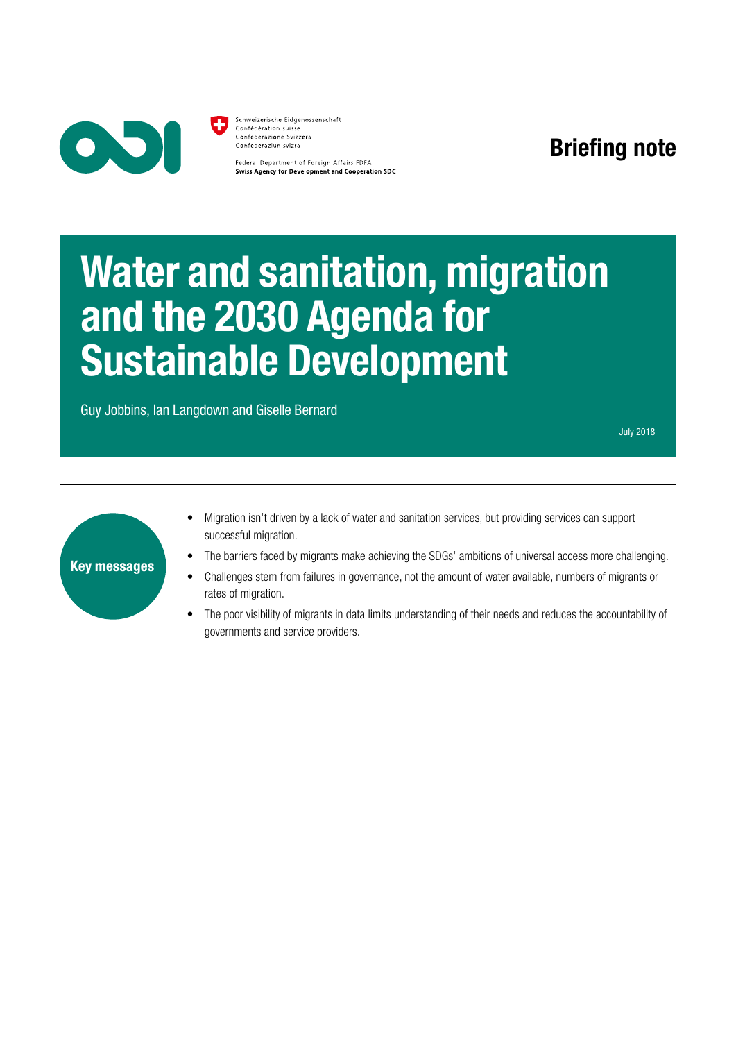

Schweizerische Fidgenossenschaft Confédération suisse Confederazione Svizzera Confederaziun svizra

> Federal Department of Foreign Affairs FDFA **Swiss Agency for Development and Cooperation SDC**

Briefing note

# Water and sanitation, migration and the 2030 Agenda for Sustainable Development

Guy Jobbins, Ian Langdown and Giselle Bernard

July 2018



- Migration isn't driven by a lack of water and sanitation services, but providing services can support successful migration.
- The barriers faced by migrants make achieving the SDGs' ambitions of universal access more challenging.
- Challenges stem from failures in governance, not the amount of water available, numbers of migrants or rates of migration.
- The poor visibility of migrants in data limits understanding of their needs and reduces the accountability of governments and service providers.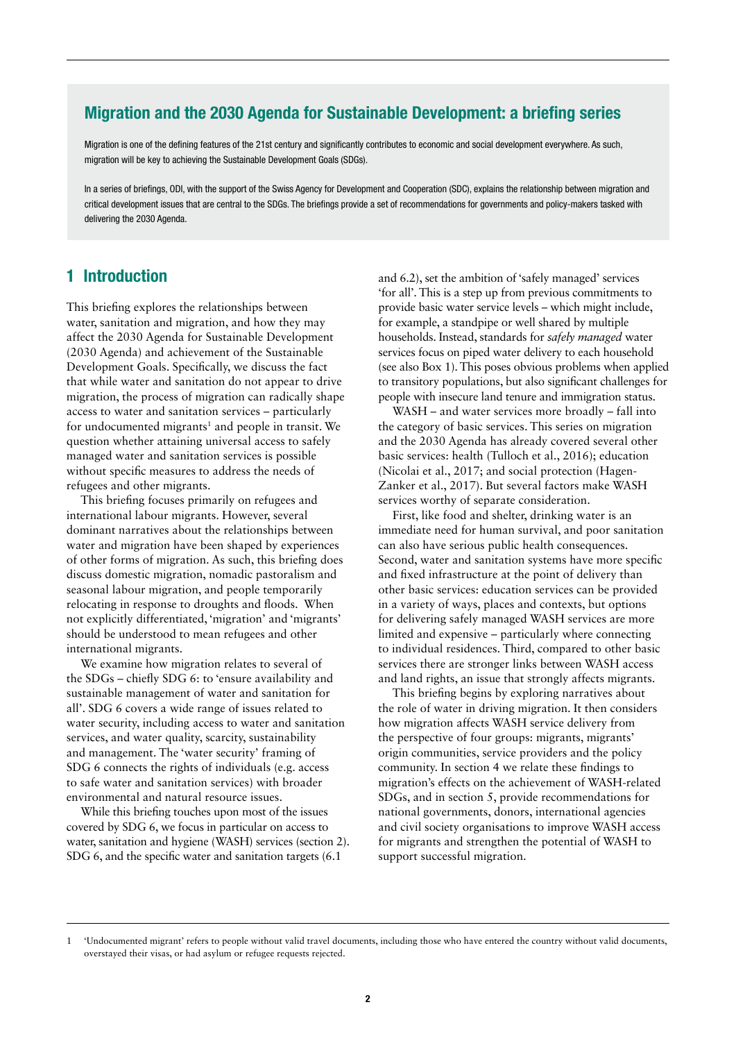### Migration and the 2030 Agenda for Sustainable Development: a briefing series

Migration is one of the defining features of the 21st century and significantly contributes to economic and social development everywhere. As such, migration will be key to achieving the Sustainable Development Goals (SDGs).

In a series of briefings, ODI, with the support of the Swiss Agency for Development and Cooperation (SDC), explains the relationship between migration and critical development issues that are central to the SDGs. The briefings provide a set of recommendations for governments and policy-makers tasked with delivering the 2030 Agenda.

### 1 Introduction

This briefing explores the relationships between water, sanitation and migration, and how they may affect the 2030 Agenda for Sustainable Development (2030 Agenda) and achievement of the Sustainable Development Goals. Specifically, we discuss the fact that while water and sanitation do not appear to drive migration, the process of migration can radically shape access to water and sanitation services – particularly for undocumented migrants<sup>1</sup> and people in transit. We question whether attaining universal access to safely managed water and sanitation services is possible without specific measures to address the needs of refugees and other migrants.

This briefing focuses primarily on refugees and international labour migrants. However, several dominant narratives about the relationships between water and migration have been shaped by experiences of other forms of migration. As such, this briefing does discuss domestic migration, nomadic pastoralism and seasonal labour migration, and people temporarily relocating in response to droughts and floods. When not explicitly differentiated, 'migration' and 'migrants' should be understood to mean refugees and other international migrants.

We examine how migration relates to several of the SDGs – chiefly SDG 6: to 'ensure availability and sustainable management of water and sanitation for all'. SDG 6 covers a wide range of issues related to water security, including access to water and sanitation services, and water quality, scarcity, sustainability and management. The 'water security' framing of SDG 6 connects the rights of individuals (e.g. access to safe water and sanitation services) with broader environmental and natural resource issues.

While this briefing touches upon most of the issues covered by SDG 6, we focus in particular on access to water, sanitation and hygiene (WASH) services (section 2). SDG 6, and the specific water and sanitation targets (6.1

and 6.2), set the ambition of 'safely managed' services 'for all'. This is a step up from previous commitments to provide basic water service levels – which might include, for example, a standpipe or well shared by multiple households. Instead, standards for *safely managed* water services focus on piped water delivery to each household (see also Box 1). This poses obvious problems when applied to transitory populations, but also significant challenges for people with insecure land tenure and immigration status.

WASH – and water services more broadly – fall into the category of basic services. This series on migration and the 2030 Agenda has already covered several other basic services: health (Tulloch et al., 2016); education (Nicolai et al., 2017; and social protection (Hagen-Zanker et al., 2017). But several factors make WASH services worthy of separate consideration.

First, like food and shelter, drinking water is an immediate need for human survival, and poor sanitation can also have serious public health consequences. Second, water and sanitation systems have more specific and fixed infrastructure at the point of delivery than other basic services: education services can be provided in a variety of ways, places and contexts, but options for delivering safely managed WASH services are more limited and expensive – particularly where connecting to individual residences. Third, compared to other basic services there are stronger links between WASH access and land rights, an issue that strongly affects migrants.

This briefing begins by exploring narratives about the role of water in driving migration. It then considers how migration affects WASH service delivery from the perspective of four groups: migrants, migrants' origin communities, service providers and the policy community. In section 4 we relate these findings to migration's effects on the achievement of WASH-related SDGs, and in section 5, provide recommendations for national governments, donors, international agencies and civil society organisations to improve WASH access for migrants and strengthen the potential of WASH to support successful migration.

<sup>1</sup> 'Undocumented migrant' refers to people without valid travel documents, including those who have entered the country without valid documents, overstayed their visas, or had asylum or refugee requests rejected.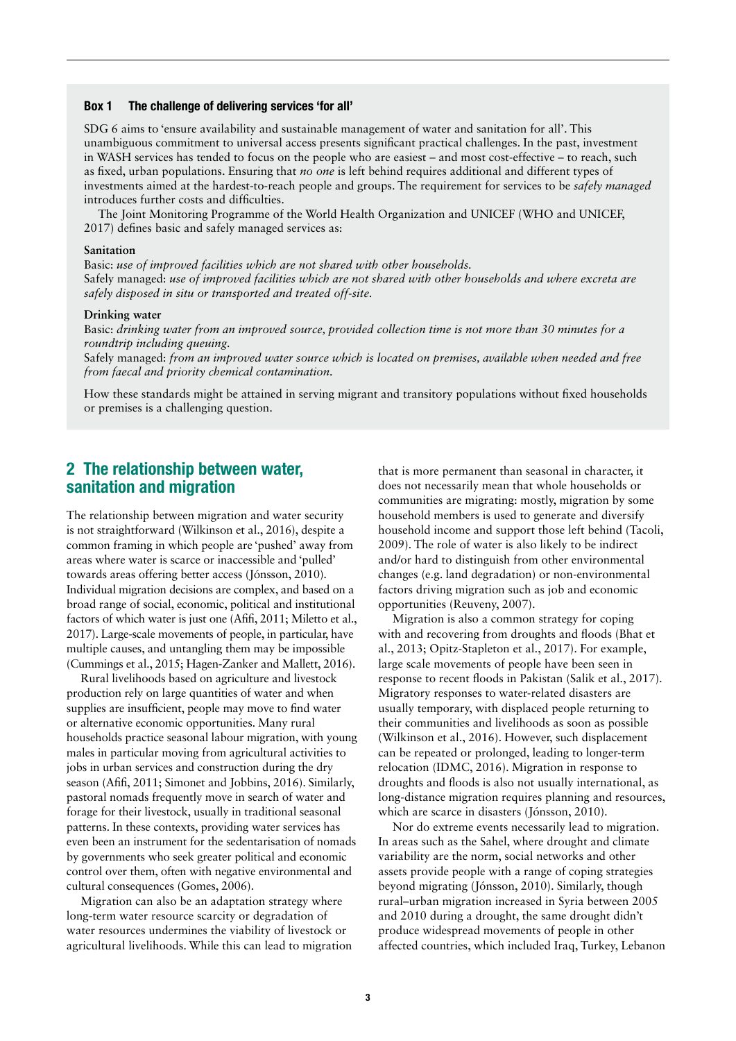#### Box 1 The challenge of delivering services 'for all'

SDG 6 aims to 'ensure availability and sustainable management of water and sanitation for all'. This unambiguous commitment to universal access presents significant practical challenges. In the past, investment in WASH services has tended to focus on the people who are easiest – and most cost-effective – to reach, such as fixed, urban populations. Ensuring that *no one* is left behind requires additional and different types of investments aimed at the hardest-to-reach people and groups. The requirement for services to be *safely managed* introduces further costs and difficulties.

The Joint Monitoring Programme of the World Health Organization and UNICEF (WHO and UNICEF, 2017) defines basic and safely managed services as:

#### **Sanitation**

Basic: *use of improved facilities which are not shared with other households.* Safely managed: *use of improved facilities which are not shared with other households and where excreta are safely disposed in situ or transported and treated off-site.*

#### **Drinking water**

Basic: *drinking water from an improved source, provided collection time is not more than 30 minutes for a roundtrip including queuing.*

Safely managed: *from an improved water source which is located on premises, available when needed and free from faecal and priority chemical contamination.*

How these standards might be attained in serving migrant and transitory populations without fixed households or premises is a challenging question.

### 2 The relationship between water, sanitation and migration

The relationship between migration and water security is not straightforward (Wilkinson et al., 2016), despite a common framing in which people are 'pushed' away from areas where water is scarce or inaccessible and 'pulled' towards areas offering better access (Jónsson, 2010). Individual migration decisions are complex, and based on a broad range of social, economic, political and institutional factors of which water is just one (Afifi, 2011; Miletto et al., 2017). Large-scale movements of people, in particular, have multiple causes, and untangling them may be impossible (Cummings et al., 2015; Hagen-Zanker and Mallett, 2016).

Rural livelihoods based on agriculture and livestock production rely on large quantities of water and when supplies are insufficient, people may move to find water or alternative economic opportunities. Many rural households practice seasonal labour migration, with young males in particular moving from agricultural activities to jobs in urban services and construction during the dry season (Afifi, 2011; Simonet and Jobbins, 2016). Similarly, pastoral nomads frequently move in search of water and forage for their livestock, usually in traditional seasonal patterns. In these contexts, providing water services has even been an instrument for the sedentarisation of nomads by governments who seek greater political and economic control over them, often with negative environmental and cultural consequences (Gomes, 2006).

Migration can also be an adaptation strategy where long-term water resource scarcity or degradation of water resources undermines the viability of livestock or agricultural livelihoods. While this can lead to migration that is more permanent than seasonal in character, it does not necessarily mean that whole households or communities are migrating: mostly, migration by some household members is used to generate and diversify household income and support those left behind (Tacoli, 2009). The role of water is also likely to be indirect and/or hard to distinguish from other environmental changes (e.g. land degradation) or non-environmental factors driving migration such as job and economic opportunities (Reuveny, 2007).

Migration is also a common strategy for coping with and recovering from droughts and floods (Bhat et al., 2013; Opitz-Stapleton et al., 2017). For example, large scale movements of people have been seen in response to recent floods in Pakistan (Salik et al., 2017). Migratory responses to water-related disasters are usually temporary, with displaced people returning to their communities and livelihoods as soon as possible (Wilkinson et al., 2016). However, such displacement can be repeated or prolonged, leading to longer-term relocation (IDMC, 2016). Migration in response to droughts and floods is also not usually international, as long-distance migration requires planning and resources, which are scarce in disasters (Jónsson, 2010).

Nor do extreme events necessarily lead to migration. In areas such as the Sahel, where drought and climate variability are the norm, social networks and other assets provide people with a range of coping strategies beyond migrating (Jónsson, 2010). Similarly, though rural–urban migration increased in Syria between 2005 and 2010 during a drought, the same drought didn't produce widespread movements of people in other affected countries, which included Iraq, Turkey, Lebanon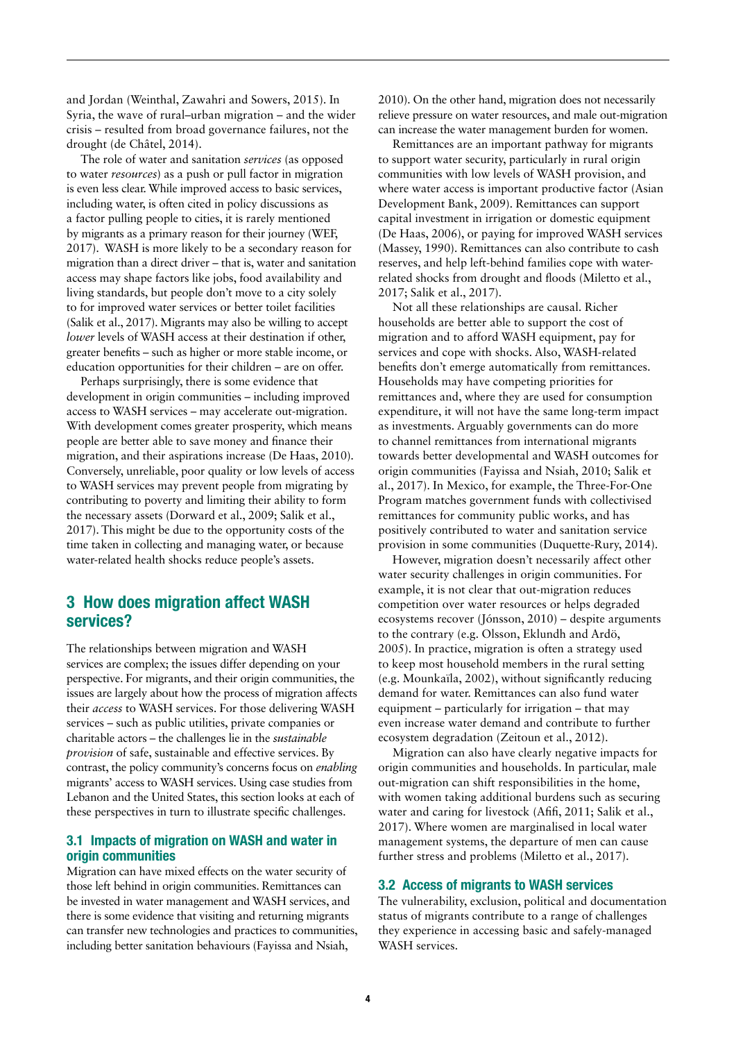and Jordan (Weinthal, Zawahri and Sowers, 2015). In Syria, the wave of rural–urban migration – and the wider crisis – resulted from broad governance failures, not the drought (de Châtel, 2014).

The role of water and sanitation *services* (as opposed to water *resources*) as a push or pull factor in migration is even less clear. While improved access to basic services, including water, is often cited in policy discussions as a factor pulling people to cities, it is rarely mentioned by migrants as a primary reason for their journey (WEF, 2017). WASH is more likely to be a secondary reason for migration than a direct driver – that is, water and sanitation access may shape factors like jobs, food availability and living standards, but people don't move to a city solely to for improved water services or better toilet facilities (Salik et al., 2017). Migrants may also be willing to accept *lower* levels of WASH access at their destination if other, greater benefits – such as higher or more stable income, or education opportunities for their children – are on offer.

Perhaps surprisingly, there is some evidence that development in origin communities – including improved access to WASH services – may accelerate out-migration. With development comes greater prosperity, which means people are better able to save money and finance their migration, and their aspirations increase (De Haas, 2010). Conversely, unreliable, poor quality or low levels of access to WASH services may prevent people from migrating by contributing to poverty and limiting their ability to form the necessary assets (Dorward et al., 2009; Salik et al., 2017). This might be due to the opportunity costs of the time taken in collecting and managing water, or because water-related health shocks reduce people's assets.

### 3 How does migration affect WASH services?

The relationships between migration and WASH services are complex; the issues differ depending on your perspective. For migrants, and their origin communities, the issues are largely about how the process of migration affects their *access* to WASH services. For those delivering WASH services – such as public utilities, private companies or charitable actors – the challenges lie in the *sustainable provision* of safe, sustainable and effective services. By contrast, the policy community's concerns focus on *enabling* migrants' access to WASH services. Using case studies from Lebanon and the United States, this section looks at each of these perspectives in turn to illustrate specific challenges.

#### 3.1 Impacts of migration on WASH and water in origin communities

Migration can have mixed effects on the water security of those left behind in origin communities. Remittances can be invested in water management and WASH services, and there is some evidence that visiting and returning migrants can transfer new technologies and practices to communities, including better sanitation behaviours (Fayissa and Nsiah,

2010). On the other hand, migration does not necessarily relieve pressure on water resources, and male out-migration can increase the water management burden for women.

Remittances are an important pathway for migrants to support water security, particularly in rural origin communities with low levels of WASH provision, and where water access is important productive factor (Asian Development Bank, 2009). Remittances can support capital investment in irrigation or domestic equipment (De Haas, 2006), or paying for improved WASH services (Massey, 1990). Remittances can also contribute to cash reserves, and help left-behind families cope with waterrelated shocks from drought and floods (Miletto et al., 2017; Salik et al., 2017).

Not all these relationships are causal. Richer households are better able to support the cost of migration and to afford WASH equipment, pay for services and cope with shocks. Also, WASH-related benefits don't emerge automatically from remittances. Households may have competing priorities for remittances and, where they are used for consumption expenditure, it will not have the same long-term impact as investments. Arguably governments can do more to channel remittances from international migrants towards better developmental and WASH outcomes for origin communities (Fayissa and Nsiah, 2010; Salik et al., 2017). In Mexico, for example, the Three-For-One Program matches government funds with collectivised remittances for community public works, and has positively contributed to water and sanitation service provision in some communities (Duquette-Rury, 2014).

However, migration doesn't necessarily affect other water security challenges in origin communities. For example, it is not clear that out-migration reduces competition over water resources or helps degraded ecosystems recover (Jónsson, 2010) – despite arguments to the contrary (e.g. Olsson, Eklundh and Ardö, 2005). In practice, migration is often a strategy used to keep most household members in the rural setting (e.g. Mounkaïla, 2002), without significantly reducing demand for water. Remittances can also fund water equipment – particularly for irrigation – that may even increase water demand and contribute to further ecosystem degradation (Zeitoun et al., 2012).

Migration can also have clearly negative impacts for origin communities and households. In particular, male out-migration can shift responsibilities in the home, with women taking additional burdens such as securing water and caring for livestock (Afifi, 2011; Salik et al., 2017). Where women are marginalised in local water management systems, the departure of men can cause further stress and problems (Miletto et al., 2017).

### 3.2 Access of migrants to WASH services

The vulnerability, exclusion, political and documentation status of migrants contribute to a range of challenges they experience in accessing basic and safely-managed WASH services.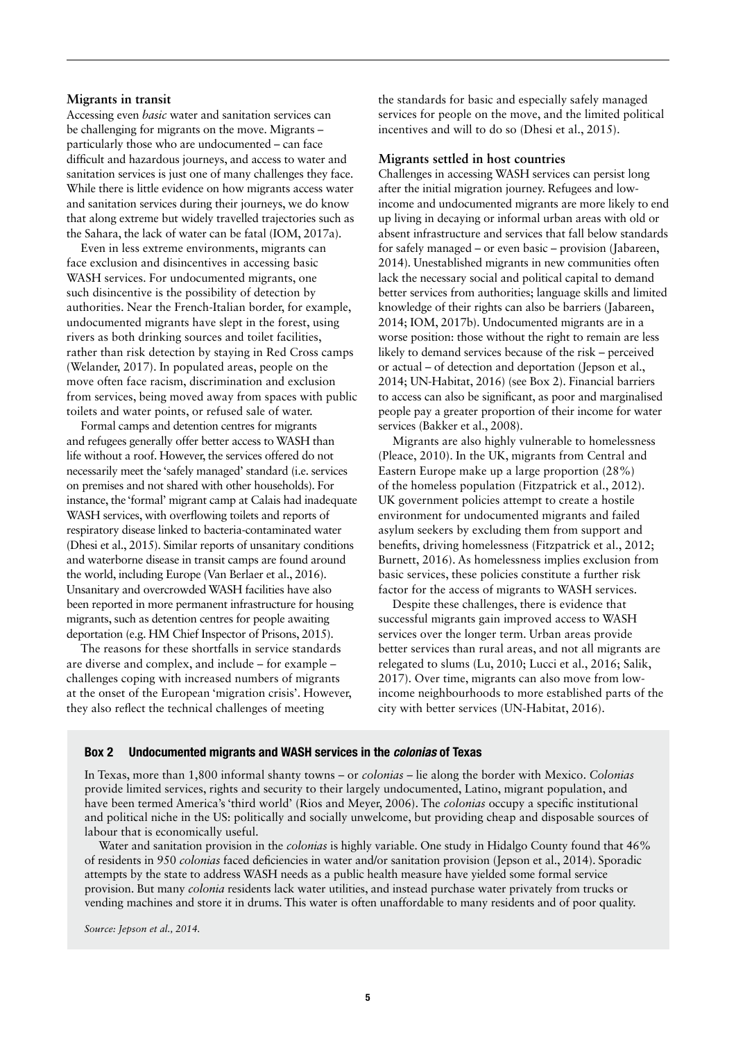#### **Migrants in transit**

Accessing even *basic* water and sanitation services can be challenging for migrants on the move. Migrants – particularly those who are undocumented – can face difficult and hazardous journeys, and access to water and sanitation services is just one of many challenges they face. While there is little evidence on how migrants access water and sanitation services during their journeys, we do know that along extreme but widely travelled trajectories such as the Sahara, the lack of water can be fatal (IOM, 2017a).

Even in less extreme environments, migrants can face exclusion and disincentives in accessing basic WASH services. For undocumented migrants, one such disincentive is the possibility of detection by authorities. Near the French-Italian border, for example, undocumented migrants have slept in the forest, using rivers as both drinking sources and toilet facilities, rather than risk detection by staying in Red Cross camps (Welander, 2017). In populated areas, people on the move often face racism, discrimination and exclusion from services, being moved away from spaces with public toilets and water points, or refused sale of water.

Formal camps and detention centres for migrants and refugees generally offer better access to WASH than life without a roof. However, the services offered do not necessarily meet the 'safely managed' standard (i.e. services on premises and not shared with other households). For instance, the 'formal' migrant camp at Calais had inadequate WASH services, with overflowing toilets and reports of respiratory disease linked to bacteria-contaminated water (Dhesi et al., 2015). Similar reports of unsanitary conditions and waterborne disease in transit camps are found around the world, including Europe (Van Berlaer et al., 2016). Unsanitary and overcrowded WASH facilities have also been reported in more permanent infrastructure for housing migrants, such as detention centres for people awaiting deportation (e.g. HM Chief Inspector of Prisons, 2015).

The reasons for these shortfalls in service standards are diverse and complex, and include – for example – challenges coping with increased numbers of migrants at the onset of the European 'migration crisis'. However, they also reflect the technical challenges of meeting

the standards for basic and especially safely managed services for people on the move, and the limited political incentives and will to do so (Dhesi et al., 2015).

#### **Migrants settled in host countries**

Challenges in accessing WASH services can persist long after the initial migration journey. Refugees and lowincome and undocumented migrants are more likely to end up living in decaying or informal urban areas with old or absent infrastructure and services that fall below standards for safely managed – or even basic – provision (Jabareen, 2014). Unestablished migrants in new communities often lack the necessary social and political capital to demand better services from authorities; language skills and limited knowledge of their rights can also be barriers (Jabareen, 2014; IOM, 2017b). Undocumented migrants are in a worse position: those without the right to remain are less likely to demand services because of the risk – perceived or actual – of detection and deportation (Jepson et al., 2014; UN-Habitat, 2016) (see Box 2). Financial barriers to access can also be significant, as poor and marginalised people pay a greater proportion of their income for water services (Bakker et al., 2008).

Migrants are also highly vulnerable to homelessness (Pleace, 2010). In the UK, migrants from Central and Eastern Europe make up a large proportion (28%) of the homeless population (Fitzpatrick et al., 2012). UK government policies attempt to create a hostile environment for undocumented migrants and failed asylum seekers by excluding them from support and benefits, driving homelessness (Fitzpatrick et al., 2012; Burnett, 2016). As homelessness implies exclusion from basic services, these policies constitute a further risk factor for the access of migrants to WASH services.

Despite these challenges, there is evidence that successful migrants gain improved access to WASH services over the longer term. Urban areas provide better services than rural areas, and not all migrants are relegated to slums (Lu, 2010; Lucci et al., 2016; Salik, 2017). Over time, migrants can also move from lowincome neighbourhoods to more established parts of the city with better services (UN-Habitat, 2016).

#### Box 2 Undocumented migrants and WASH services in the *colonias* of Texas

In Texas, more than 1,800 informal shanty towns – or *colonias –* lie along the border with Mexico. *Colonias* provide limited services, rights and security to their largely undocumented, Latino, migrant population, and have been termed America's 'third world' (Rios and Meyer, 2006). The *colonias* occupy a specific institutional and political niche in the US: politically and socially unwelcome, but providing cheap and disposable sources of labour that is economically useful.

Water and sanitation provision in the *colonias* is highly variable. One study in Hidalgo County found that 46% of residents in 950 *colonias* faced deficiencies in water and/or sanitation provision (Jepson et al., 2014). Sporadic attempts by the state to address WASH needs as a public health measure have yielded some formal service provision. But many *colonia* residents lack water utilities, and instead purchase water privately from trucks or vending machines and store it in drums. This water is often unaffordable to many residents and of poor quality.

*Source: Jepson et al., 2014.*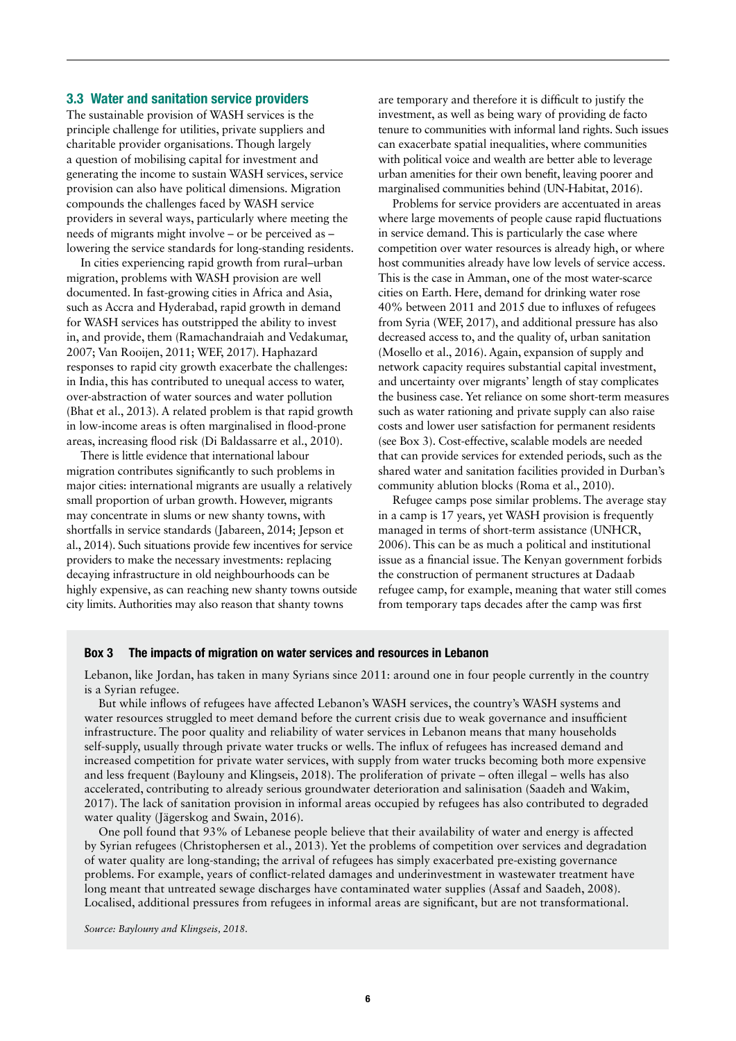#### 3.3 Water and sanitation service providers

The sustainable provision of WASH services is the principle challenge for utilities, private suppliers and charitable provider organisations. Though largely a question of mobilising capital for investment and generating the income to sustain WASH services, service provision can also have political dimensions. Migration compounds the challenges faced by WASH service providers in several ways, particularly where meeting the needs of migrants might involve – or be perceived as – lowering the service standards for long-standing residents.

In cities experiencing rapid growth from rural–urban migration, problems with WASH provision are well documented. In fast-growing cities in Africa and Asia, such as Accra and Hyderabad, rapid growth in demand for WASH services has outstripped the ability to invest in, and provide, them (Ramachandraiah and Vedakumar, 2007; Van Rooijen, 2011; WEF, 2017). Haphazard responses to rapid city growth exacerbate the challenges: in India, this has contributed to unequal access to water, over-abstraction of water sources and water pollution (Bhat et al., 2013). A related problem is that rapid growth in low-income areas is often marginalised in flood-prone areas, increasing flood risk (Di Baldassarre et al., 2010).

There is little evidence that international labour migration contributes significantly to such problems in major cities: international migrants are usually a relatively small proportion of urban growth. However, migrants may concentrate in slums or new shanty towns, with shortfalls in service standards (Jabareen, 2014; Jepson et al., 2014). Such situations provide few incentives for service providers to make the necessary investments: replacing decaying infrastructure in old neighbourhoods can be highly expensive, as can reaching new shanty towns outside city limits. Authorities may also reason that shanty towns

are temporary and therefore it is difficult to justify the investment, as well as being wary of providing de facto tenure to communities with informal land rights. Such issues can exacerbate spatial inequalities, where communities with political voice and wealth are better able to leverage urban amenities for their own benefit, leaving poorer and marginalised communities behind (UN-Habitat, 2016).

Problems for service providers are accentuated in areas where large movements of people cause rapid fluctuations in service demand. This is particularly the case where competition over water resources is already high, or where host communities already have low levels of service access. This is the case in Amman, one of the most water-scarce cities on Earth. Here, demand for drinking water rose 40% between 2011 and 2015 due to influxes of refugees from Syria (WEF, 2017), and additional pressure has also decreased access to, and the quality of, urban sanitation (Mosello et al., 2016). Again, expansion of supply and network capacity requires substantial capital investment, and uncertainty over migrants' length of stay complicates the business case. Yet reliance on some short-term measures such as water rationing and private supply can also raise costs and lower user satisfaction for permanent residents (see Box 3). Cost-effective, scalable models are needed that can provide services for extended periods, such as the shared water and sanitation facilities provided in Durban's community ablution blocks (Roma et al., 2010).

Refugee camps pose similar problems. The average stay in a camp is 17 years, yet WASH provision is frequently managed in terms of short-term assistance (UNHCR, 2006). This can be as much a political and institutional issue as a financial issue. The Kenyan government forbids the construction of permanent structures at Dadaab refugee camp, for example, meaning that water still comes from temporary taps decades after the camp was first

#### Box 3 The impacts of migration on water services and resources in Lebanon

Lebanon, like Jordan, has taken in many Syrians since 2011: around one in four people currently in the country is a Syrian refugee.

But while inflows of refugees have affected Lebanon's WASH services, the country's WASH systems and water resources struggled to meet demand before the current crisis due to weak governance and insufficient infrastructure. The poor quality and reliability of water services in Lebanon means that many households self-supply, usually through private water trucks or wells. The influx of refugees has increased demand and increased competition for private water services, with supply from water trucks becoming both more expensive and less frequent (Baylouny and Klingseis, 2018). The proliferation of private – often illegal – wells has also accelerated, contributing to already serious groundwater deterioration and salinisation (Saadeh and Wakim, 2017). The lack of sanitation provision in informal areas occupied by refugees has also contributed to degraded water quality (Jägerskog and Swain, 2016).

One poll found that 93% of Lebanese people believe that their availability of water and energy is affected by Syrian refugees (Christophersen et al., 2013). Yet the problems of competition over services and degradation of water quality are long-standing; the arrival of refugees has simply exacerbated pre-existing governance problems. For example, years of conflict-related damages and underinvestment in wastewater treatment have long meant that untreated sewage discharges have contaminated water supplies (Assaf and Saadeh, 2008). Localised, additional pressures from refugees in informal areas are significant, but are not transformational.

*Source: Baylouny and Klingseis, 2018.*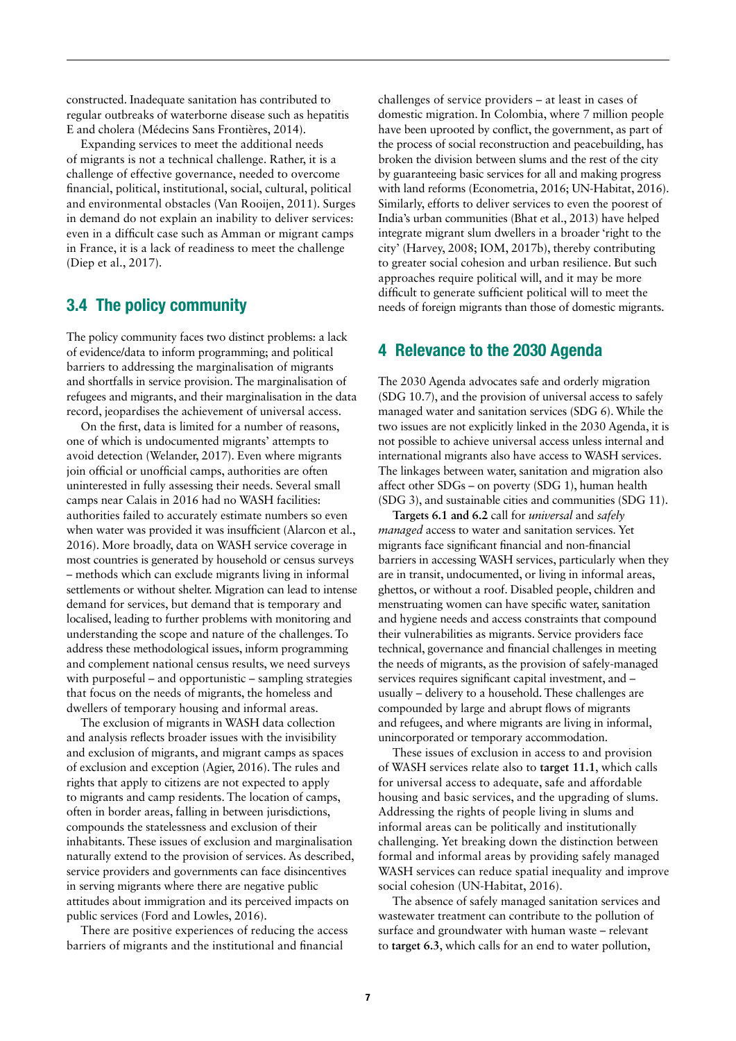constructed. Inadequate sanitation has contributed to regular outbreaks of waterborne disease such as hepatitis E and cholera (Médecins Sans Frontières, 2014).

Expanding services to meet the additional needs of migrants is not a technical challenge. Rather, it is a challenge of effective governance, needed to overcome financial, political, institutional, social, cultural, political and environmental obstacles (Van Rooijen, 2011). Surges in demand do not explain an inability to deliver services: even in a difficult case such as Amman or migrant camps in France, it is a lack of readiness to meet the challenge (Diep et al., 2017).

### 3.4 The policy community

The policy community faces two distinct problems: a lack of evidence/data to inform programming; and political barriers to addressing the marginalisation of migrants and shortfalls in service provision. The marginalisation of refugees and migrants, and their marginalisation in the data record, jeopardises the achievement of universal access.

On the first, data is limited for a number of reasons, one of which is undocumented migrants' attempts to avoid detection (Welander, 2017). Even where migrants join official or unofficial camps, authorities are often uninterested in fully assessing their needs. Several small camps near Calais in 2016 had no WASH facilities: authorities failed to accurately estimate numbers so even when water was provided it was insufficient (Alarcon et al., 2016). More broadly, data on WASH service coverage in most countries is generated by household or census surveys – methods which can exclude migrants living in informal settlements or without shelter. Migration can lead to intense demand for services, but demand that is temporary and localised, leading to further problems with monitoring and understanding the scope and nature of the challenges. To address these methodological issues, inform programming and complement national census results, we need surveys with purposeful – and opportunistic – sampling strategies that focus on the needs of migrants, the homeless and dwellers of temporary housing and informal areas.

The exclusion of migrants in WASH data collection and analysis reflects broader issues with the invisibility and exclusion of migrants, and migrant camps as spaces of exclusion and exception (Agier, 2016). The rules and rights that apply to citizens are not expected to apply to migrants and camp residents. The location of camps, often in border areas, falling in between jurisdictions, compounds the statelessness and exclusion of their inhabitants. These issues of exclusion and marginalisation naturally extend to the provision of services. As described, service providers and governments can face disincentives in serving migrants where there are negative public attitudes about immigration and its perceived impacts on public services (Ford and Lowles, 2016).

There are positive experiences of reducing the access barriers of migrants and the institutional and financial

challenges of service providers – at least in cases of domestic migration. In Colombia, where 7 million people have been uprooted by conflict, the government, as part of the process of social reconstruction and peacebuilding, has broken the division between slums and the rest of the city by guaranteeing basic services for all and making progress with land reforms (Econometria, 2016; UN-Habitat, 2016). Similarly, efforts to deliver services to even the poorest of India's urban communities (Bhat et al., 2013) have helped integrate migrant slum dwellers in a broader 'right to the city' (Harvey, 2008; IOM, 2017b), thereby contributing to greater social cohesion and urban resilience. But such approaches require political will, and it may be more difficult to generate sufficient political will to meet the needs of foreign migrants than those of domestic migrants.

### 4 Relevance to the 2030 Agenda

The 2030 Agenda advocates safe and orderly migration (SDG 10.7), and the provision of universal access to safely managed water and sanitation services (SDG 6). While the two issues are not explicitly linked in the 2030 Agenda, it is not possible to achieve universal access unless internal and international migrants also have access to WASH services. The linkages between water, sanitation and migration also affect other SDGs – on poverty (SDG 1), human health (SDG 3), and sustainable cities and communities (SDG 11).

**Targets 6.1 and 6.2** call for *universal* and *safely managed* access to water and sanitation services. Yet migrants face significant financial and non-financial barriers in accessing WASH services, particularly when they are in transit, undocumented, or living in informal areas, ghettos, or without a roof. Disabled people, children and menstruating women can have specific water, sanitation and hygiene needs and access constraints that compound their vulnerabilities as migrants. Service providers face technical, governance and financial challenges in meeting the needs of migrants, as the provision of safely-managed services requires significant capital investment, and – usually – delivery to a household. These challenges are compounded by large and abrupt flows of migrants and refugees, and where migrants are living in informal, unincorporated or temporary accommodation.

These issues of exclusion in access to and provision of WASH services relate also to **target 11.1**, which calls for universal access to adequate, safe and affordable housing and basic services, and the upgrading of slums. Addressing the rights of people living in slums and informal areas can be politically and institutionally challenging. Yet breaking down the distinction between formal and informal areas by providing safely managed WASH services can reduce spatial inequality and improve social cohesion (UN-Habitat, 2016).

The absence of safely managed sanitation services and wastewater treatment can contribute to the pollution of surface and groundwater with human waste – relevant to **target 6.3**, which calls for an end to water pollution,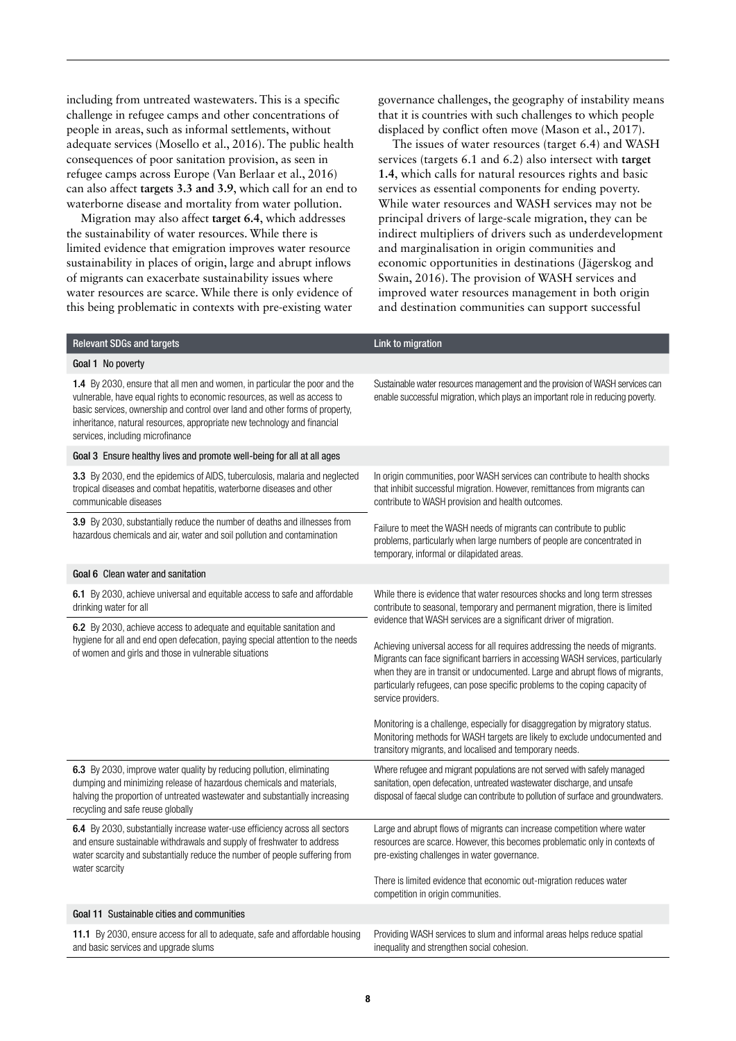including from untreated wastewaters. This is a specific challenge in refugee camps and other concentrations of people in areas, such as informal settlements, without adequate services (Mosello et al., 2016). The public health consequences of poor sanitation provision, as seen in refugee camps across Europe (Van Berlaar et al., 2016) can also affect **targets 3.3 and 3.9**, which call for an end to waterborne disease and mortality from water pollution.

Migration may also affect **target 6.4**, which addresses the sustainability of water resources. While there is limited evidence that emigration improves water resource sustainability in places of origin, large and abrupt inflows of migrants can exacerbate sustainability issues where water resources are scarce. While there is only evidence of this being problematic in contexts with pre-existing water

governance challenges, the geography of instability means that it is countries with such challenges to which people displaced by conflict often move (Mason et al., 2017).

The issues of water resources (target 6.4) and WASH services (targets 6.1 and 6.2) also intersect with **target 1.4**, which calls for natural resources rights and basic services as essential components for ending poverty. While water resources and WASH services may not be principal drivers of large-scale migration, they can be indirect multipliers of drivers such as underdevelopment and marginalisation in origin communities and economic opportunities in destinations (Jägerskog and Swain, 2016). The provision of WASH services and improved water resources management in both origin and destination communities can support successful

| <b>Relevant SDGs and targets</b>                                                                                                                                                                                                                                                                                                                               | Link to migration                                                                                                                                                                                                                                                                                                                                                                                                                                                                                                                                                                                                                                      |
|----------------------------------------------------------------------------------------------------------------------------------------------------------------------------------------------------------------------------------------------------------------------------------------------------------------------------------------------------------------|--------------------------------------------------------------------------------------------------------------------------------------------------------------------------------------------------------------------------------------------------------------------------------------------------------------------------------------------------------------------------------------------------------------------------------------------------------------------------------------------------------------------------------------------------------------------------------------------------------------------------------------------------------|
| Goal 1 No poverty                                                                                                                                                                                                                                                                                                                                              |                                                                                                                                                                                                                                                                                                                                                                                                                                                                                                                                                                                                                                                        |
| <b>1.4</b> By 2030, ensure that all men and women, in particular the poor and the<br>vulnerable, have equal rights to economic resources, as well as access to<br>basic services, ownership and control over land and other forms of property,<br>inheritance, natural resources, appropriate new technology and financial<br>services, including microfinance | Sustainable water resources management and the provision of WASH services can<br>enable successful migration, which plays an important role in reducing poverty.                                                                                                                                                                                                                                                                                                                                                                                                                                                                                       |
| Goal 3 Ensure healthy lives and promote well-being for all at all ages                                                                                                                                                                                                                                                                                         |                                                                                                                                                                                                                                                                                                                                                                                                                                                                                                                                                                                                                                                        |
| <b>3.3</b> By 2030, end the epidemics of AIDS, tuberculosis, malaria and neglected<br>tropical diseases and combat hepatitis, waterborne diseases and other<br>communicable diseases                                                                                                                                                                           | In origin communities, poor WASH services can contribute to health shocks<br>that inhibit successful migration. However, remittances from migrants can<br>contribute to WASH provision and health outcomes.                                                                                                                                                                                                                                                                                                                                                                                                                                            |
| <b>3.9</b> By 2030, substantially reduce the number of deaths and illnesses from<br>hazardous chemicals and air, water and soil pollution and contamination                                                                                                                                                                                                    | Failure to meet the WASH needs of migrants can contribute to public<br>problems, particularly when large numbers of people are concentrated in<br>temporary, informal or dilapidated areas.                                                                                                                                                                                                                                                                                                                                                                                                                                                            |
| Goal 6 Clean water and sanitation                                                                                                                                                                                                                                                                                                                              |                                                                                                                                                                                                                                                                                                                                                                                                                                                                                                                                                                                                                                                        |
| 6.1 By 2030, achieve universal and equitable access to safe and affordable<br>drinking water for all                                                                                                                                                                                                                                                           | While there is evidence that water resources shocks and long term stresses<br>contribute to seasonal, temporary and permanent migration, there is limited                                                                                                                                                                                                                                                                                                                                                                                                                                                                                              |
| 6.2 By 2030, achieve access to adequate and equitable sanitation and<br>hygiene for all and end open defecation, paying special attention to the needs<br>of women and girls and those in vulnerable situations                                                                                                                                                | evidence that WASH services are a significant driver of migration.<br>Achieving universal access for all requires addressing the needs of migrants.<br>Migrants can face significant barriers in accessing WASH services, particularly<br>when they are in transit or undocumented. Large and abrupt flows of migrants,<br>particularly refugees, can pose specific problems to the coping capacity of<br>service providers.<br>Monitoring is a challenge, especially for disaggregation by migratory status.<br>Monitoring methods for WASH targets are likely to exclude undocumented and<br>transitory migrants, and localised and temporary needs. |
| <b>6.3</b> By 2030, improve water quality by reducing pollution, eliminating<br>dumping and minimizing release of hazardous chemicals and materials,<br>halving the proportion of untreated wastewater and substantially increasing<br>recycling and safe reuse globally                                                                                       | Where refugee and migrant populations are not served with safely managed<br>sanitation, open defecation, untreated wastewater discharge, and unsafe<br>disposal of faecal sludge can contribute to pollution of surface and groundwaters.                                                                                                                                                                                                                                                                                                                                                                                                              |
| 6.4 By 2030, substantially increase water-use efficiency across all sectors<br>and ensure sustainable withdrawals and supply of freshwater to address<br>water scarcity and substantially reduce the number of people suffering from<br>water scarcity                                                                                                         | Large and abrupt flows of migrants can increase competition where water<br>resources are scarce. However, this becomes problematic only in contexts of<br>pre-existing challenges in water governance.<br>There is limited evidence that economic out-migration reduces water<br>competition in origin communities.                                                                                                                                                                                                                                                                                                                                    |
| Goal 11 Sustainable cities and communities                                                                                                                                                                                                                                                                                                                     |                                                                                                                                                                                                                                                                                                                                                                                                                                                                                                                                                                                                                                                        |
| <b>11.1</b> By 2030, ensure access for all to adequate, safe and affordable housing<br>and basic services and upgrade slums                                                                                                                                                                                                                                    | Providing WASH services to slum and informal areas helps reduce spatial<br>inequality and strengthen social cohesion.                                                                                                                                                                                                                                                                                                                                                                                                                                                                                                                                  |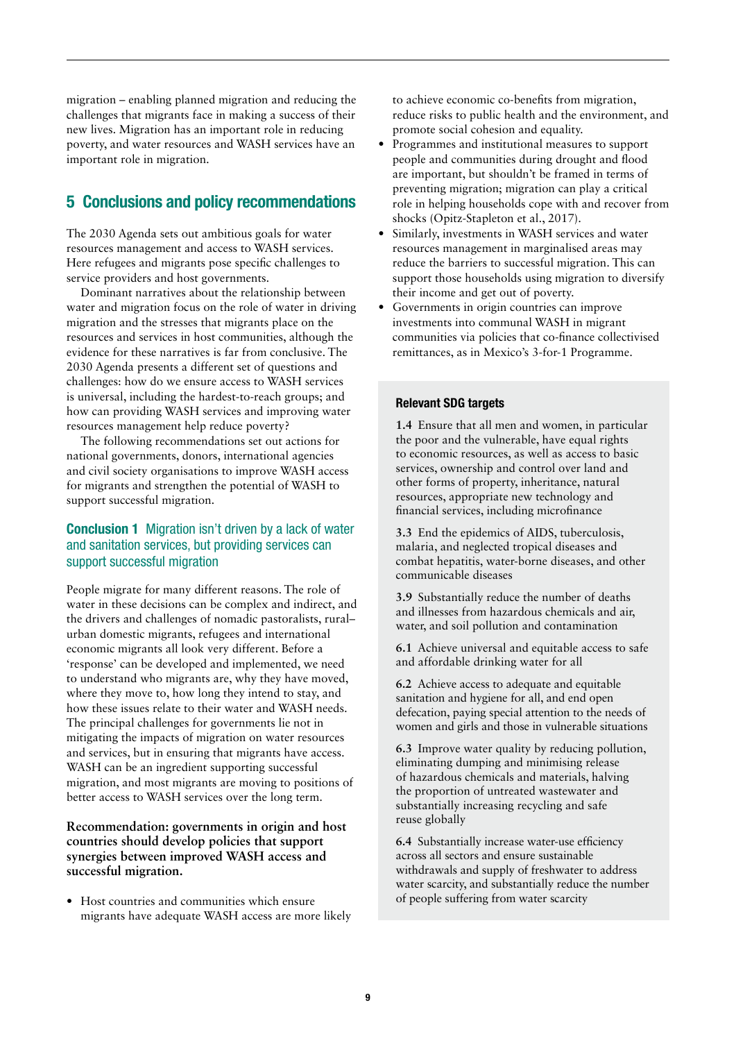migration – enabling planned migration and reducing the challenges that migrants face in making a success of their new lives. Migration has an important role in reducing poverty, and water resources and WASH services have an important role in migration.

### 5 Conclusions and policy recommendations

The 2030 Agenda sets out ambitious goals for water resources management and access to WASH services. Here refugees and migrants pose specific challenges to service providers and host governments.

Dominant narratives about the relationship between water and migration focus on the role of water in driving migration and the stresses that migrants place on the resources and services in host communities, although the evidence for these narratives is far from conclusive. The 2030 Agenda presents a different set of questions and challenges: how do we ensure access to WASH services is universal, including the hardest-to-reach groups; and how can providing WASH services and improving water resources management help reduce poverty?

The following recommendations set out actions for national governments, donors, international agencies and civil society organisations to improve WASH access for migrants and strengthen the potential of WASH to support successful migration.

### Conclusion 1 Migration isn't driven by a lack of water and sanitation services, but providing services can support successful migration

People migrate for many different reasons. The role of water in these decisions can be complex and indirect, and the drivers and challenges of nomadic pastoralists, rural– urban domestic migrants, refugees and international economic migrants all look very different. Before a 'response' can be developed and implemented, we need to understand who migrants are, why they have moved, where they move to, how long they intend to stay, and how these issues relate to their water and WASH needs. The principal challenges for governments lie not in mitigating the impacts of migration on water resources and services, but in ensuring that migrants have access. WASH can be an ingredient supporting successful migration, and most migrants are moving to positions of better access to WASH services over the long term.

### **Recommendation: governments in origin and host countries should develop policies that support synergies between improved WASH access and successful migration.**

**•** Host countries and communities which ensure migrants have adequate WASH access are more likely to achieve economic co-benefits from migration, reduce risks to public health and the environment, and promote social cohesion and equality.

- **•** Programmes and institutional measures to support people and communities during drought and flood are important, but shouldn't be framed in terms of preventing migration; migration can play a critical role in helping households cope with and recover from shocks (Opitz-Stapleton et al., 2017).
- **•** Similarly, investments in WASH services and water resources management in marginalised areas may reduce the barriers to successful migration. This can support those households using migration to diversify their income and get out of poverty.
- **•** Governments in origin countries can improve investments into communal WASH in migrant communities via policies that co-finance collectivised remittances, as in Mexico's 3-for-1 Programme.

### Relevant SDG targets

**1.4** Ensure that all men and women, in particular the poor and the vulnerable, have equal rights to economic resources, as well as access to basic services, ownership and control over land and other forms of property, inheritance, natural resources, appropriate new technology and financial services, including microfinance

**3.3** End the epidemics of AIDS, tuberculosis, malaria, and neglected tropical diseases and combat hepatitis, water-borne diseases, and other communicable diseases

**3.9** Substantially reduce the number of deaths and illnesses from hazardous chemicals and air, water, and soil pollution and contamination

**6.1** Achieve universal and equitable access to safe and affordable drinking water for all

**6.2** Achieve access to adequate and equitable sanitation and hygiene for all, and end open defecation, paying special attention to the needs of women and girls and those in vulnerable situations

**6.3** Improve water quality by reducing pollution, eliminating dumping and minimising release of hazardous chemicals and materials, halving the proportion of untreated wastewater and substantially increasing recycling and safe reuse globally

**6.4** Substantially increase water-use efficiency across all sectors and ensure sustainable withdrawals and supply of freshwater to address water scarcity, and substantially reduce the number of people suffering from water scarcity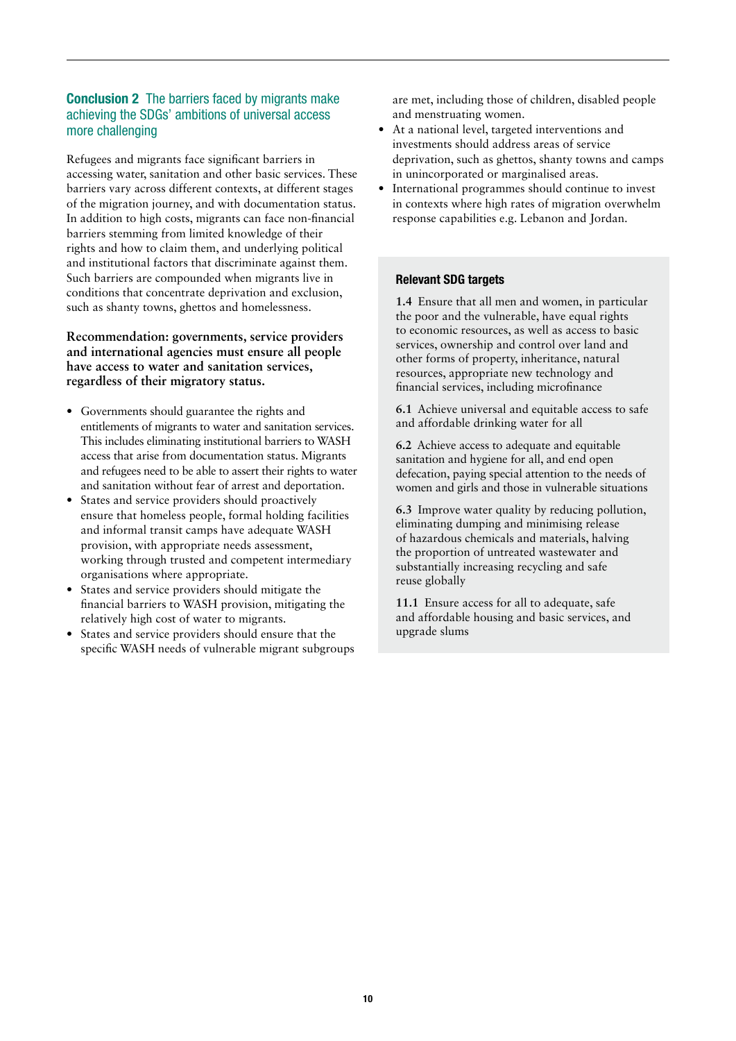### **Conclusion 2** The barriers faced by migrants make achieving the SDGs' ambitions of universal access more challenging

Refugees and migrants face significant barriers in accessing water, sanitation and other basic services. These barriers vary across different contexts, at different stages of the migration journey, and with documentation status. In addition to high costs, migrants can face non-financial barriers stemming from limited knowledge of their rights and how to claim them, and underlying political and institutional factors that discriminate against them. Such barriers are compounded when migrants live in conditions that concentrate deprivation and exclusion, such as shanty towns, ghettos and homelessness.

### **Recommendation: governments, service providers and international agencies must ensure all people have access to water and sanitation services, regardless of their migratory status.**

- **•** Governments should guarantee the rights and entitlements of migrants to water and sanitation services. This includes eliminating institutional barriers to WASH access that arise from documentation status. Migrants and refugees need to be able to assert their rights to water and sanitation without fear of arrest and deportation.
- **•** States and service providers should proactively ensure that homeless people, formal holding facilities and informal transit camps have adequate WASH provision, with appropriate needs assessment, working through trusted and competent intermediary organisations where appropriate.
- **•** States and service providers should mitigate the financial barriers to WASH provision, mitigating the relatively high cost of water to migrants.
- **•** States and service providers should ensure that the specific WASH needs of vulnerable migrant subgroups

are met, including those of children, disabled people and menstruating women.

- **•** At a national level, targeted interventions and investments should address areas of service deprivation, such as ghettos, shanty towns and camps in unincorporated or marginalised areas.
- **•** International programmes should continue to invest in contexts where high rates of migration overwhelm response capabilities e.g. Lebanon and Jordan.

### Relevant SDG targets

**1.4** Ensure that all men and women, in particular the poor and the vulnerable, have equal rights to economic resources, as well as access to basic services, ownership and control over land and other forms of property, inheritance, natural resources, appropriate new technology and financial services, including microfinance

**6.1** Achieve universal and equitable access to safe and affordable drinking water for all

**6.2** Achieve access to adequate and equitable sanitation and hygiene for all, and end open defecation, paying special attention to the needs of women and girls and those in vulnerable situations

**6.3** Improve water quality by reducing pollution, eliminating dumping and minimising release of hazardous chemicals and materials, halving the proportion of untreated wastewater and substantially increasing recycling and safe reuse globally

**11.1** Ensure access for all to adequate, safe and affordable housing and basic services, and upgrade slums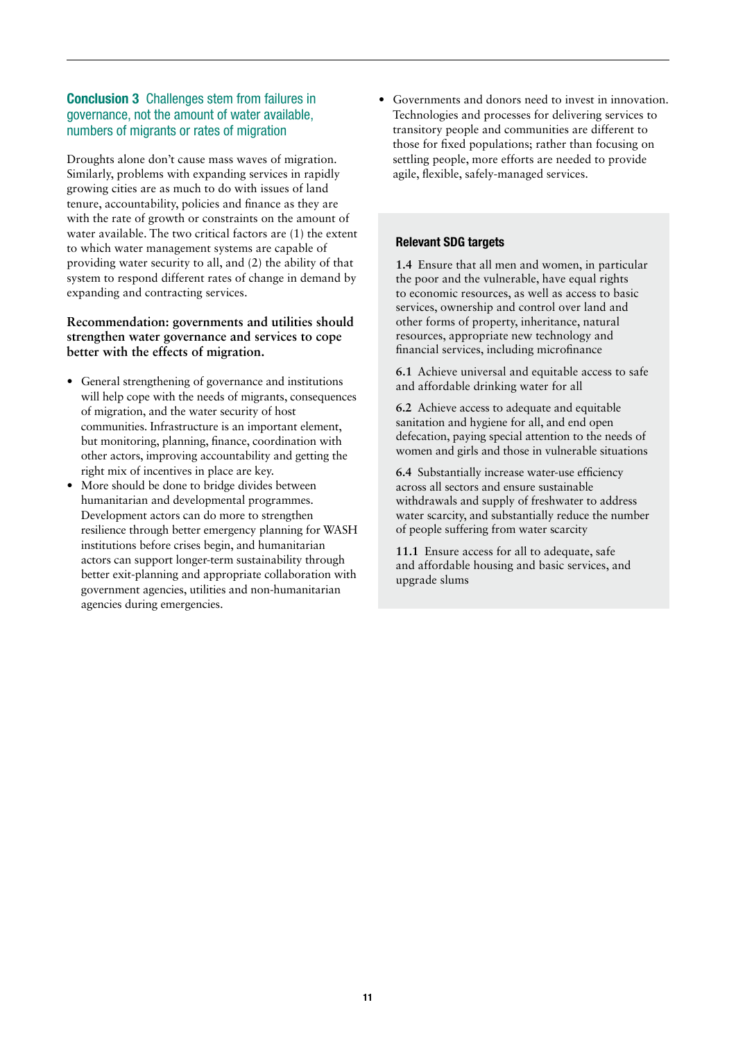### Conclusion 3 Challenges stem from failures in governance, not the amount of water available, numbers of migrants or rates of migration

Droughts alone don't cause mass waves of migration. Similarly, problems with expanding services in rapidly growing cities are as much to do with issues of land tenure, accountability, policies and finance as they are with the rate of growth or constraints on the amount of water available. The two critical factors are (1) the extent to which water management systems are capable of providing water security to all, and (2) the ability of that system to respond different rates of change in demand by expanding and contracting services.

### **Recommendation: governments and utilities should strengthen water governance and services to cope better with the effects of migration.**

- **•** General strengthening of governance and institutions will help cope with the needs of migrants, consequences of migration, and the water security of host communities. Infrastructure is an important element, but monitoring, planning, finance, coordination with other actors, improving accountability and getting the right mix of incentives in place are key.
- **•** More should be done to bridge divides between humanitarian and developmental programmes. Development actors can do more to strengthen resilience through better emergency planning for WASH institutions before crises begin, and humanitarian actors can support longer-term sustainability through better exit-planning and appropriate collaboration with government agencies, utilities and non-humanitarian agencies during emergencies.

**•** Governments and donors need to invest in innovation. Technologies and processes for delivering services to transitory people and communities are different to those for fixed populations; rather than focusing on settling people, more efforts are needed to provide agile, flexible, safely-managed services.

### Relevant SDG targets

**1.4** Ensure that all men and women, in particular the poor and the vulnerable, have equal rights to economic resources, as well as access to basic services, ownership and control over land and other forms of property, inheritance, natural resources, appropriate new technology and financial services, including microfinance

**6.1** Achieve universal and equitable access to safe and affordable drinking water for all

**6.2** Achieve access to adequate and equitable sanitation and hygiene for all, and end open defecation, paying special attention to the needs of women and girls and those in vulnerable situations

**6.4** Substantially increase water-use efficiency across all sectors and ensure sustainable withdrawals and supply of freshwater to address water scarcity, and substantially reduce the number of people suffering from water scarcity

**11.1** Ensure access for all to adequate, safe and affordable housing and basic services, and upgrade slums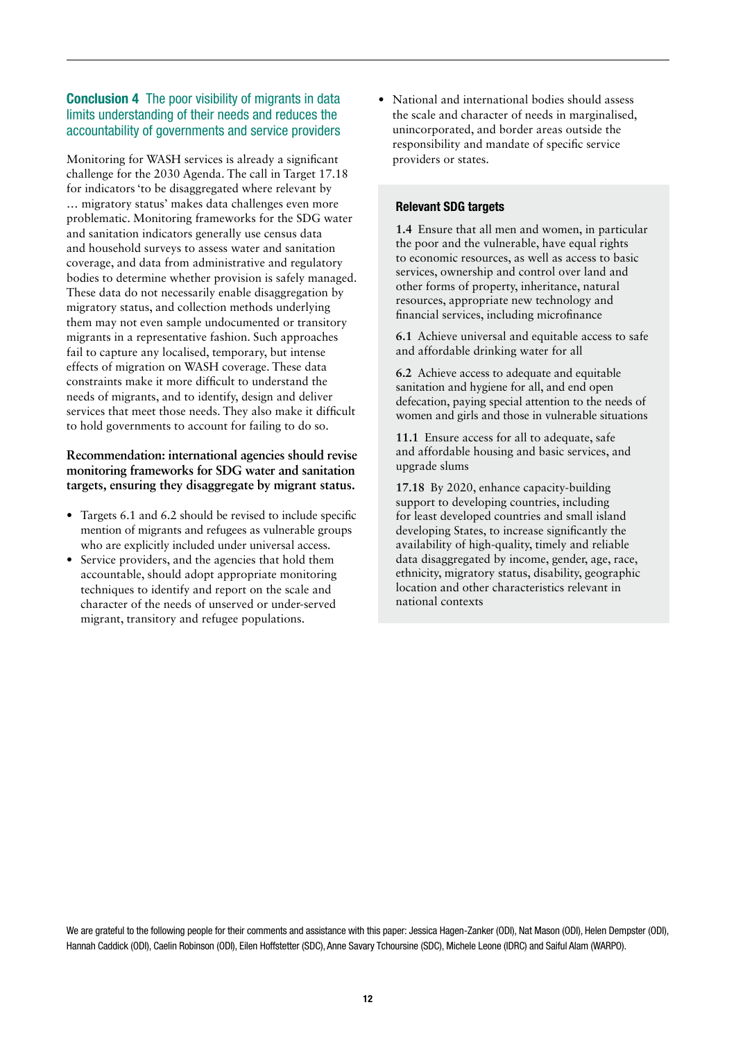### **Conclusion 4** The poor visibility of migrants in data limits understanding of their needs and reduces the accountability of governments and service providers

Monitoring for WASH services is already a significant challenge for the 2030 Agenda. The call in Target 17.18 for indicators 'to be disaggregated where relevant by … migratory status' makes data challenges even more problematic. Monitoring frameworks for the SDG water and sanitation indicators generally use census data and household surveys to assess water and sanitation coverage, and data from administrative and regulatory bodies to determine whether provision is safely managed. These data do not necessarily enable disaggregation by migratory status, and collection methods underlying them may not even sample undocumented or transitory migrants in a representative fashion. Such approaches fail to capture any localised, temporary, but intense effects of migration on WASH coverage. These data constraints make it more difficult to understand the needs of migrants, and to identify, design and deliver services that meet those needs. They also make it difficult to hold governments to account for failing to do so.

### **Recommendation: international agencies should revise monitoring frameworks for SDG water and sanitation targets, ensuring they disaggregate by migrant status.**

- **•** Targets 6.1 and 6.2 should be revised to include specific mention of migrants and refugees as vulnerable groups who are explicitly included under universal access.
- **•** Service providers, and the agencies that hold them accountable, should adopt appropriate monitoring techniques to identify and report on the scale and character of the needs of unserved or under-served migrant, transitory and refugee populations.

**•** National and international bodies should assess the scale and character of needs in marginalised, unincorporated, and border areas outside the responsibility and mandate of specific service providers or states.

### Relevant SDG targets

**1.4** Ensure that all men and women, in particular the poor and the vulnerable, have equal rights to economic resources, as well as access to basic services, ownership and control over land and other forms of property, inheritance, natural resources, appropriate new technology and financial services, including microfinance

**6.1** Achieve universal and equitable access to safe and affordable drinking water for all

**6.2** Achieve access to adequate and equitable sanitation and hygiene for all, and end open defecation, paying special attention to the needs of women and girls and those in vulnerable situations

**11.1** Ensure access for all to adequate, safe and affordable housing and basic services, and upgrade slums

**17.18** By 2020, enhance capacity-building support to developing countries, including for least developed countries and small island developing States, to increase significantly the availability of high-quality, timely and reliable data disaggregated by income, gender, age, race, ethnicity, migratory status, disability, geographic location and other characteristics relevant in national contexts

We are grateful to the following people for their comments and assistance with this paper: Jessica Hagen-Zanker (ODI), Nat Mason (ODI), Helen Dempster (ODI), Hannah Caddick (ODI), Caelin Robinson (ODI), Eilen Hoffstetter (SDC), Anne Savary Tchoursine (SDC), Michele Leone (IDRC) and Saiful Alam (WARPO).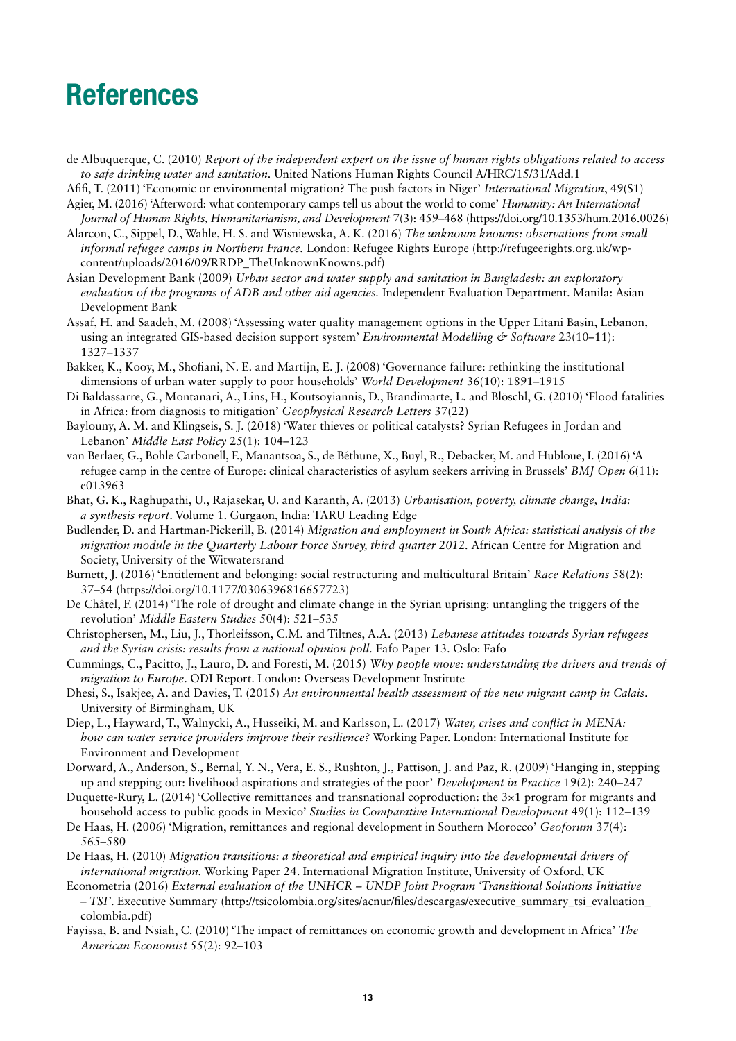## References

- de Albuquerque, C. (2010) *Report of the independent expert on the issue of human rights obligations related to access to safe drinking water and sanitation.* United Nations Human Rights Council A/HRC/15/31/Add.1
- Afifi, T. (2011) 'Economic or environmental migration? The push factors in Niger' *International Migration*, 49(S1)
- Agier, M. (2016) 'Afterword: what contemporary camps tell us about the world to come' *Humanity: An International Journal of Human Rights, Humanitarianism, and Development* 7(3): 459–468 [\(https://doi.org/10.1353/hum.2016.0026](https://doi.org/10.1353/hum.2016.0026))
- Alarcon, C., Sippel, D., Wahle, H. S. and Wisniewska, A. K. (2016) *The unknown knowns: observations from small informal refugee camps in Northern France.* London: Refugee Rights Europe [\(http://refugeerights.org.uk/wp](http://refugeerights.org.uk/wp-content/uploads/2016/09/RRDP_TheUnknownKnowns.pdf)[content/uploads/2016/09/RRDP\\_TheUnknownKnowns.pdf](http://refugeerights.org.uk/wp-content/uploads/2016/09/RRDP_TheUnknownKnowns.pdf))
- Asian Development Bank (2009) *Urban sector and water supply and sanitation in Bangladesh: an exploratory evaluation of the programs of ADB and other aid agencies.* Independent Evaluation Department. Manila: Asian Development Bank
- Assaf, H. and Saadeh, M. (2008) 'Assessing water quality management options in the Upper Litani Basin, Lebanon, using an integrated GIS-based decision support system' *Environmental Modelling & Software* 23(10–11): 1327–1337
- Bakker, K., Kooy, M., Shofiani, N. E. and Martijn, E. J. (2008) 'Governance failure: rethinking the institutional dimensions of urban water supply to poor households' *World Development* 36(10): 1891–1915
- Di Baldassarre, G., Montanari, A., Lins, H., Koutsoyiannis, D., Brandimarte, L. and Blöschl, G. (2010) 'Flood fatalities in Africa: from diagnosis to mitigation' *Geophysical Research Letters* 37(22)
- Baylouny, A. M. and Klingseis, S. J. (2018) 'Water thieves or political catalysts? Syrian Refugees in Jordan and Lebanon' *Middle East Policy* 25(1): 104–123
- van Berlaer, G., Bohle Carbonell, F., Manantsoa, S., de Béthune, X., Buyl, R., Debacker, M. and Hubloue, I. (2016) 'A refugee camp in the centre of Europe: clinical characteristics of asylum seekers arriving in Brussels' *BMJ Open* 6(11): e013963
- Bhat, G. K., Raghupathi, U., Rajasekar, U. and Karanth, A. (2013) *Urbanisation, poverty, climate change, India: a synthesis report*. Volume 1. Gurgaon, India: TARU Leading Edge
- Budlender, D. and Hartman-Pickerill, B. (2014) *Migration and employment in South Africa: statistical analysis of the migration module in the Quarterly Labour Force Survey, third quarter 2012.* African Centre for Migration and Society, University of the Witwatersrand
- Burnett, J. (2016) 'Entitlement and belonging: social restructuring and multicultural Britain' *Race Relations* 58(2): 37–54 [\(https://doi.org/10.1177/0306396816657723](https://doi.org/10.1177/0306396816657723))
- De Châtel, F. (2014) 'The role of drought and climate change in the Syrian uprising: untangling the triggers of the revolution' *Middle Eastern Studies* 50(4): 521–535
- Christophersen, M., Liu, J., Thorleifsson, C.M. and Tiltnes, A.A. (2013) *Lebanese attitudes towards Syrian refugees and the Syrian crisis: results from a national opinion poll*. Fafo Paper 13. Oslo: Fafo
- Cummings, C., Pacitto, J., Lauro, D. and Foresti, M. (2015) *Why people move: understanding the drivers and trends of migration to Europe*. ODI Report. London: Overseas Development Institute
- Dhesi, S., Isakjee, A. and Davies, T. (2015) *An environmental health assessment of the new migrant camp in Calais*. University of Birmingham, UK
- Diep, L., Hayward, T., Walnycki, A., Husseiki, M. and Karlsson, L. (2017) *Water, crises and conflict in MENA: how can water service providers improve their resilience?* Working Paper. London: International Institute for Environment and Development
- Dorward, A., Anderson, S., Bernal, Y. N., Vera, E. S., Rushton, J., Pattison, J. and Paz, R. (2009) 'Hanging in, stepping up and stepping out: livelihood aspirations and strategies of the poor' *Development in Practice* 19(2): 240–247
- Duquette-Rury, L. (2014) 'Collective remittances and transnational coproduction: the 3×1 program for migrants and household access to public goods in Mexico' *Studies in Comparative International Development* 49(1): 112–139
- De Haas, H. (2006) 'Migration, remittances and regional development in Southern Morocco' *Geoforum* 37(4): 565–580
- De Haas, H. (2010) *Migration transitions: a theoretical and empirical inquiry into the developmental drivers of international migration.* Working Paper 24. International Migration Institute, University of Oxford, UK
- Econometria (2016) *External evaluation of the UNHCR UNDP Joint Program 'Transitional Solutions Initiative – TSI'*. Executive Summary ([http://tsicolombia.org/sites/acnur/files/descargas/executive\\_summary\\_tsi\\_evaluation\\_](http://tsicolombia.org/sites/acnur/files/descargas/executive_summary_tsi_evaluation_colombia.pdf) [colombia.pdf\)](http://tsicolombia.org/sites/acnur/files/descargas/executive_summary_tsi_evaluation_colombia.pdf)
- Fayissa, B. and Nsiah, C. (2010) 'The impact of remittances on economic growth and development in Africa' *The American Economist* 55(2): 92–103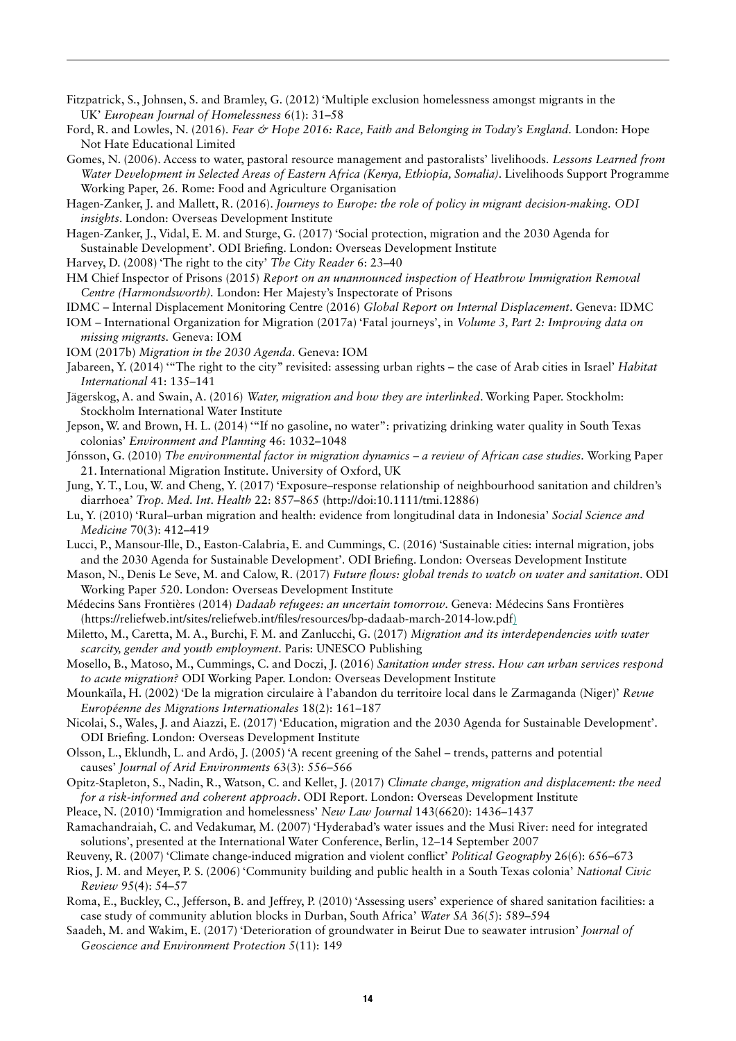- Fitzpatrick, S., Johnsen, S. and Bramley, G. (2012) 'Multiple exclusion homelessness amongst migrants in the UK' *European Journal of Homelessness* 6(1): 31–58
- Ford, R. and Lowles, N. (2016). *Fear & Hope 2016: Race, Faith and Belonging in Today's England.* London: Hope Not Hate Educational Limited
- Gomes, N. (2006). Access to water, pastoral resource management and pastoralists' livelihoods. *Lessons Learned from Water Development in Selected Areas of Eastern Africa (Kenya, Ethiopia, Somalia). Livelihoods Support Programme* Working Paper, 26*.* Rome: Food and Agriculture Organisation

Hagen-Zanker, J. and Mallett, R. (2016). *Journeys to Europe: the role of policy in migrant decision-making. ODI insights*. London: Overseas Development Institute

Hagen-Zanker, J., Vidal, E. M. and Sturge, G. (2017) 'Social protection, migration and the 2030 Agenda for Sustainable Development'. ODI Briefing. London: Overseas Development Institute

Harvey, D. (2008) 'The right to the city' *The City Reader* 6: 23–40

- HM Chief Inspector of Prisons (2015) *Report on an unannounced inspection of Heathrow Immigration Removal Centre (Harmondsworth).* London: Her Majesty's Inspectorate of Prisons
- IDMC Internal Displacement Monitoring Centre (2016) *Global Report on Internal Displacement*. Geneva: IDMC

IOM – International Organization for Migration (2017a) 'Fatal journeys', in *Volume 3, Part 2: Improving data on missing migrants.* Geneva: IOM

IOM (2017b) *Migration in the 2030 Agenda*. Geneva: IOM

Jabareen, Y. (2014) '"The right to the city" revisited: assessing urban rights – the case of Arab cities in Israel' *Habitat International* 41: 135–141

- Jägerskog, A. and Swain, A. (2016) *Water, migration and how they are interlinked*. Working Paper. Stockholm: Stockholm International Water Institute
- Jepson, W. and Brown, H. L. (2014) '"If no gasoline, no water": privatizing drinking water quality in South Texas colonias' *Environment and Planning* 46: 1032–1048
- Jónsson, G. (2010) *The environmental factor in migration dynamics a review of African case studies.* Working Paper 21. International Migration Institute. University of Oxford, UK
- Jung, Y. T., Lou, W. and Cheng, Y. (2017) 'Exposure–response relationship of neighbourhood sanitation and children's diarrhoea' *Trop. Med. Int. Health* 22: 857–865 (http://doi:[10.1111/tmi.12886\)](https://doi.org/10.1111/tmi.12886)
- Lu, Y. (2010) 'Rural–urban migration and health: evidence from longitudinal data in Indonesia' *Social Science and Medicine* 70(3): 412–419
- Lucci, P., Mansour-Ille, D., Easton-Calabria, E. and Cummings, C. (2016) 'Sustainable cities: internal migration, jobs and the 2030 Agenda for Sustainable Development'. ODI Briefing. London: Overseas Development Institute
- Mason, N., Denis Le Seve, M. and Calow, R. (2017) *Future flows: global trends to watch on water and sanitation*. ODI Working Paper 520. London: Overseas Development Institute
- Médecins Sans Frontières (2014) *Dadaab refugees: an uncertain tomorrow*. Geneva: Médecins Sans Frontières ([https://reliefweb.int/sites/reliefweb.int/files/resources/bp-dadaab-march-2014-low.pdf\)](https://reliefweb.int/sites/reliefweb.int/files/resources/bp-dadaab-march-2014-low.pdf)
- Miletto, M., Caretta, M. A., Burchi, F. M. and Zanlucchi, G. (2017) *Migration and its interdependencies with water scarcity, gender and youth employment.* Paris: UNESCO Publishing
- Mosello, B., Matoso, M., Cummings, C. and Doczi, J. (2016) *Sanitation under stress. How can urban services respond to acute migration?* ODI Working Paper. London: Overseas Development Institute

Mounkaïla, H. (2002) 'De la migration circulaire à l'abandon du territoire local dans le Zarmaganda (Niger)' *Revue Européenne des Migrations Internationales* 18(2): 161–187

Nicolai, S., Wales, J. and Aiazzi, E. (2017) 'Education, migration and the 2030 Agenda for Sustainable Development'. ODI Briefing. London: Overseas Development Institute

- Olsson, L., Eklundh, L. and Ardö, J. (2005) 'A recent greening of the Sahel trends, patterns and potential causes' *Journal of Arid Environments* 63(3): 556–566
- Opitz-Stapleton, S., Nadin, R., Watson, C. and Kellet, J. (2017) *Climate change, migration and displacement: the need for a risk-informed and coherent approach*. ODI Report. London: Overseas Development Institute

Pleace, N. (2010) 'Immigration and homelessness' *New Law Journal* 143(6620): 1436–1437

Ramachandraiah, C. and Vedakumar, M. (2007) 'Hyderabad's water issues and the Musi River: need for integrated solutions', presented at the International Water Conference, Berlin, 12–14 September 2007

Reuveny, R. (2007) 'Climate change-induced migration and violent conflict' *Political Geography* 26(6): 656–673

Rios, J. M. and Meyer, P. S. (2006) 'Community building and public health in a South Texas colonia' *National Civic Review* 95(4): 54–57

- Roma, E., Buckley, C., Jefferson, B. and Jeffrey, P. (2010) 'Assessing users' experience of shared sanitation facilities: a case study of community ablution blocks in Durban, South Africa' *Water SA* 36(5): 589–594
- Saadeh, M. and Wakim, E. (2017) 'Deterioration of groundwater in Beirut Due to seawater intrusion' *Journal of Geoscience and Environment Protection* 5(11): 149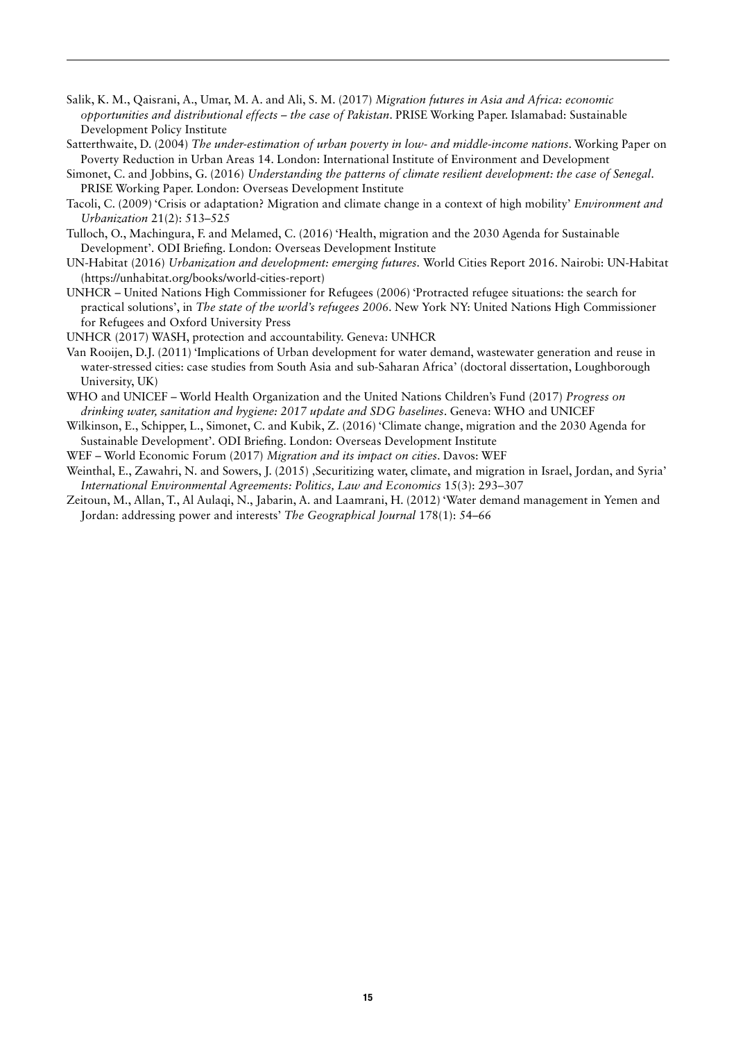- Salik, K. M., Qaisrani, A., Umar, M. A. and Ali, S. M. (2017) *Migration futures in Asia and Africa: economic opportunities and distributional effects – the case of Pakistan*. PRISE Working Paper. Islamabad: Sustainable Development Policy Institute
- Satterthwaite, D. (2004) *The under-estimation of urban poverty in low- and middle-income nations*. Working Paper on Poverty Reduction in Urban Areas 14. London: International Institute of Environment and Development
- Simonet, C. and Jobbins, G. (2016) *Understanding the patterns of climate resilient development: the case of Senegal*. PRISE Working Paper. London: Overseas Development Institute
- Tacoli, C. (2009) 'Crisis or adaptation? Migration and climate change in a context of high mobility' *Environment and Urbanization* 21(2): 513–525
- Tulloch, O., Machingura, F. and Melamed, C. (2016) 'Health, migration and the 2030 Agenda for Sustainable Development'. ODI Briefing. London: Overseas Development Institute
- UN-Habitat (2016) *Urbanization and development: emerging futures.* World Cities Report 2016. Nairobi: UN-Habitat (https://unhabitat.org/books/world-cities-report)
- UNHCR United Nations High Commissioner for Refugees (2006) 'Protracted refugee situations: the search for practical solutions', in *The state of the world's refugees 2006*. New York NY: United Nations High Commissioner for Refugees and Oxford University Press
- UNHCR (2017) WASH, protection and accountability. Geneva: UNHCR
- Van Rooijen, D.J. (2011) 'Implications of Urban development for water demand, wastewater generation and reuse in water-stressed cities: case studies from South Asia and sub-Saharan Africa' (doctoral dissertation, Loughborough University, UK)
- WHO and UNICEF World Health Organization and the United Nations Children's Fund (2017) *Progress on drinking water, sanitation and hygiene: 2017 update and SDG baselines*. Geneva: WHO and UNICEF
- Wilkinson, E., Schipper, L., Simonet, C. and Kubik, Z. (2016) 'Climate change, migration and the 2030 Agenda for Sustainable Development'. ODI Briefing. London: Overseas Development Institute
- WEF World Economic Forum (2017) *Migration and its impact on cities*. Davos: WEF
- Weinthal, E., Zawahri, N. and Sowers, J. (2015) 'Securitizing water, climate, and migration in Israel, Jordan, and Syria' *International Environmental Agreements: Politics, Law and Economics* 15(3): 293–307
- Zeitoun, M., Allan, T., Al Aulaqi, N., Jabarin, A. and Laamrani, H. (2012) 'Water demand management in Yemen and Jordan: addressing power and interests' *The Geographical Journal* 178(1): 54–66